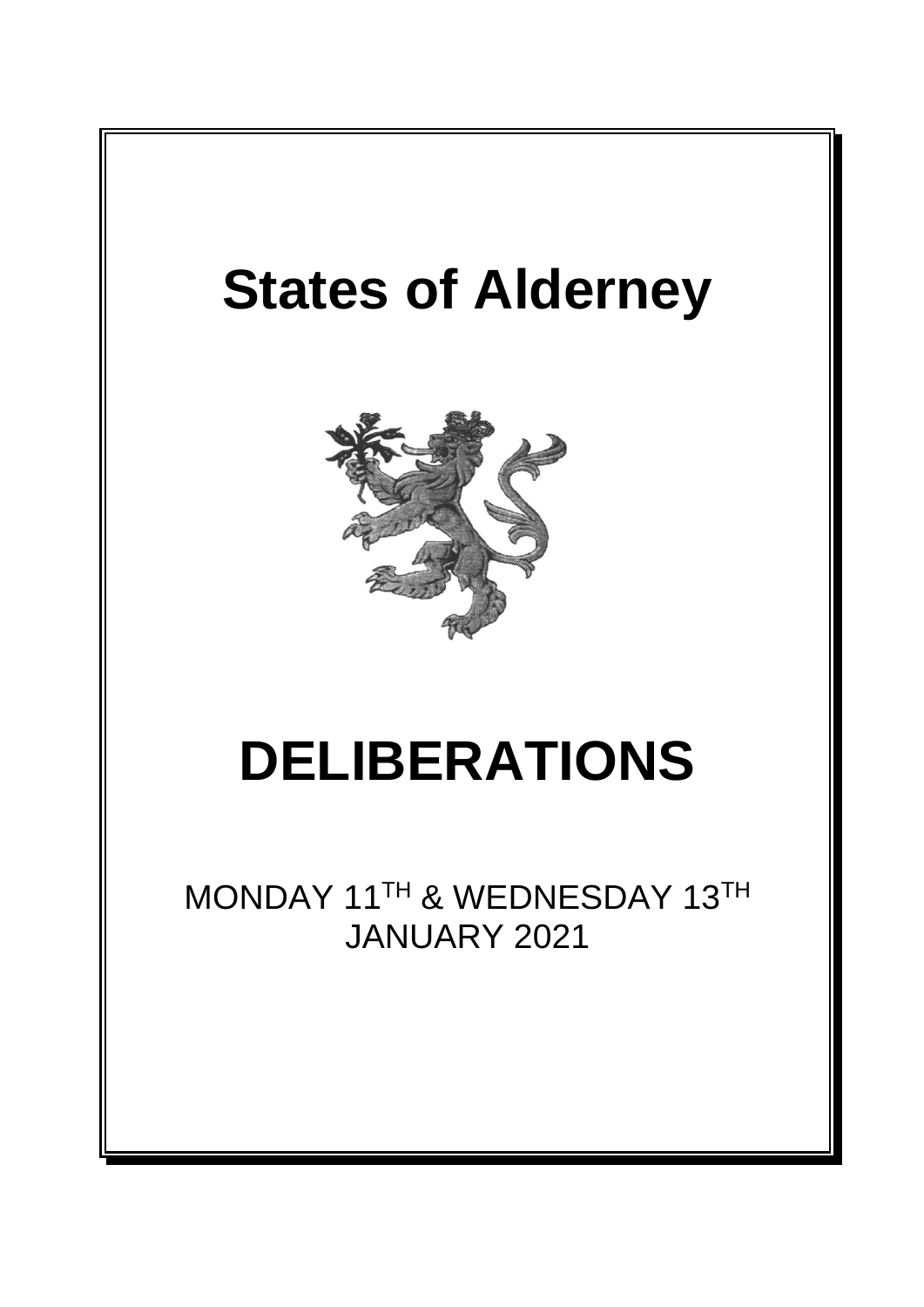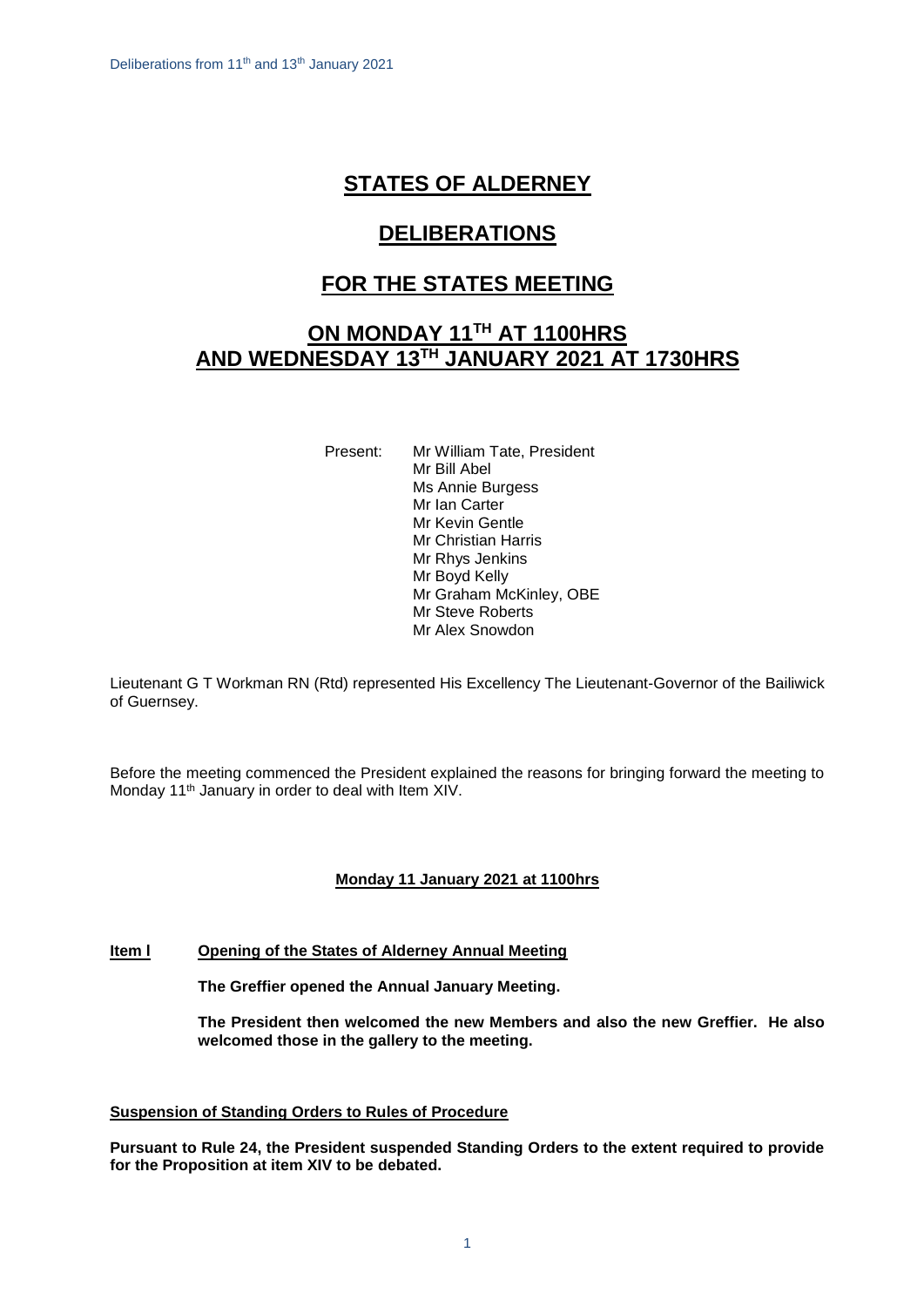# **STATES OF ALDERNEY**

# **DELIBERATIONS**

# **FOR THE STATES MEETING**

# **ON MONDAY 11 TH AT 1100HRS AND WEDNESDAY 13TH JANUARY 2021 AT 1730HRS**

Present: Mr William Tate, President Mr Bill Abel Ms Annie Burgess Mr Ian Carter Mr Kevin Gentle Mr Christian Harris Mr Rhys Jenkins Mr Boyd Kelly Mr Graham McKinley, OBE Mr Steve Roberts Mr Alex Snowdon

Lieutenant G T Workman RN (Rtd) represented His Excellency The Lieutenant-Governor of the Bailiwick of Guernsey.

Before the meeting commenced the President explained the reasons for bringing forward the meeting to Monday 11<sup>th</sup> January in order to deal with Item XIV.

# **Monday 11 January 2021 at 1100hrs**

# **Item l Opening of the States of Alderney Annual Meeting**

**The Greffier opened the Annual January Meeting.**

**The President then welcomed the new Members and also the new Greffier. He also welcomed those in the gallery to the meeting.**

# **Suspension of Standing Orders to Rules of Procedure**

**Pursuant to Rule 24, the President suspended Standing Orders to the extent required to provide for the Proposition at item XIV to be debated.**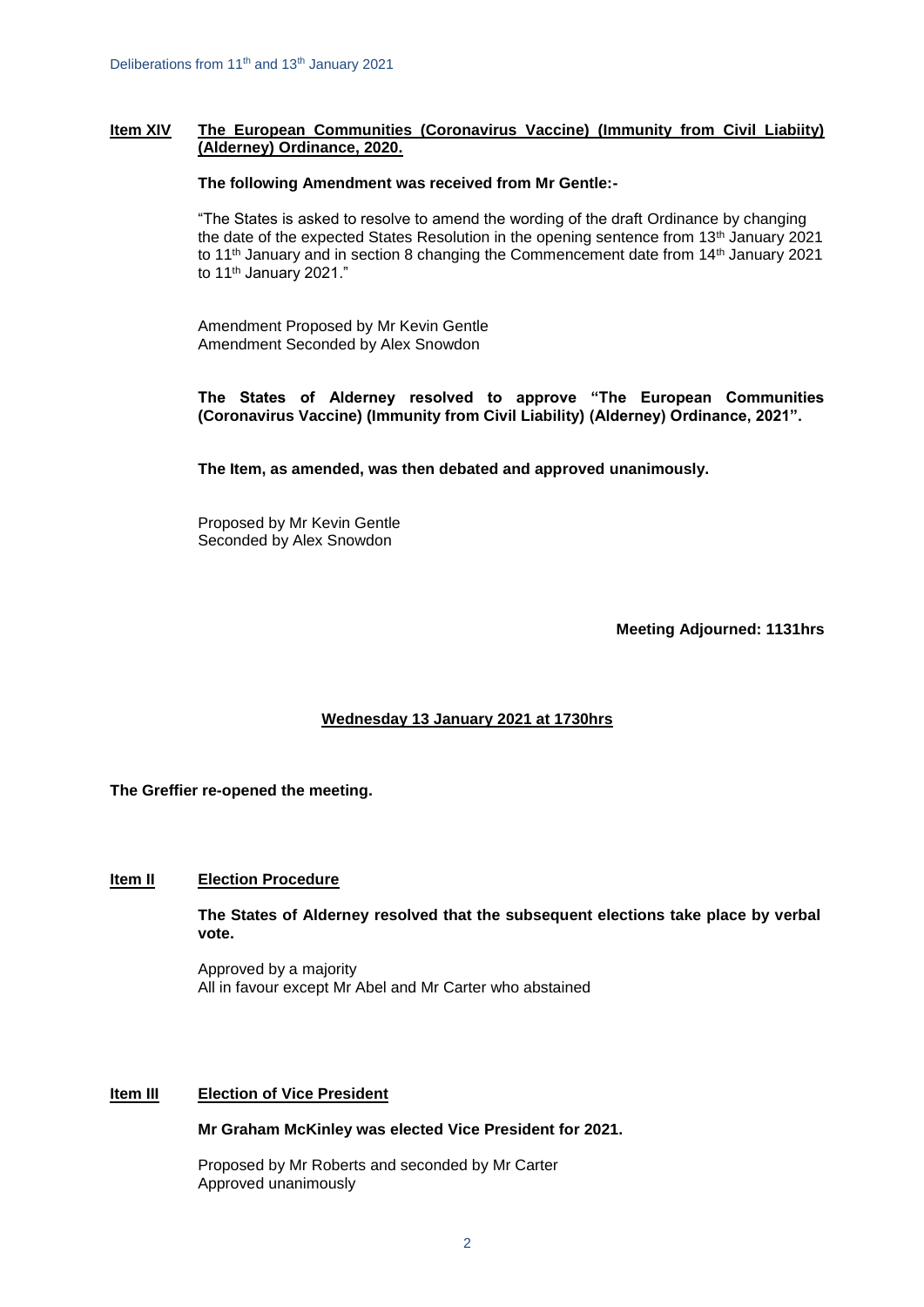# **Item XIV The European Communities (Coronavirus Vaccine) (Immunity from Civil Liabiity) (Alderney) Ordinance, 2020.**

### **The following Amendment was received from Mr Gentle:-**

"The States is asked to resolve to amend the wording of the draft Ordinance by changing the date of the expected States Resolution in the opening sentence from 13<sup>th</sup> January 2021 to 11<sup>th</sup> January and in section 8 changing the Commencement date from 14<sup>th</sup> January 2021 to 11<sup>th</sup> January 2021."

Amendment Proposed by Mr Kevin Gentle Amendment Seconded by Alex Snowdon

**The States of Alderney resolved to approve "The European Communities (Coronavirus Vaccine) (Immunity from Civil Liability) (Alderney) Ordinance, 2021".** 

**The Item, as amended, was then debated and approved unanimously.**

Proposed by Mr Kevin Gentle Seconded by Alex Snowdon

**Meeting Adjourned: 1131hrs**

# **Wednesday 13 January 2021 at 1730hrs**

**The Greffier re-opened the meeting.**

# **Item II Election Procedure**

**The States of Alderney resolved that the subsequent elections take place by verbal vote.**

Approved by a majority All in favour except Mr Abel and Mr Carter who abstained

#### **Item III Election of Vice President**

**Mr Graham McKinley was elected Vice President for 2021.**

Proposed by Mr Roberts and seconded by Mr Carter Approved unanimously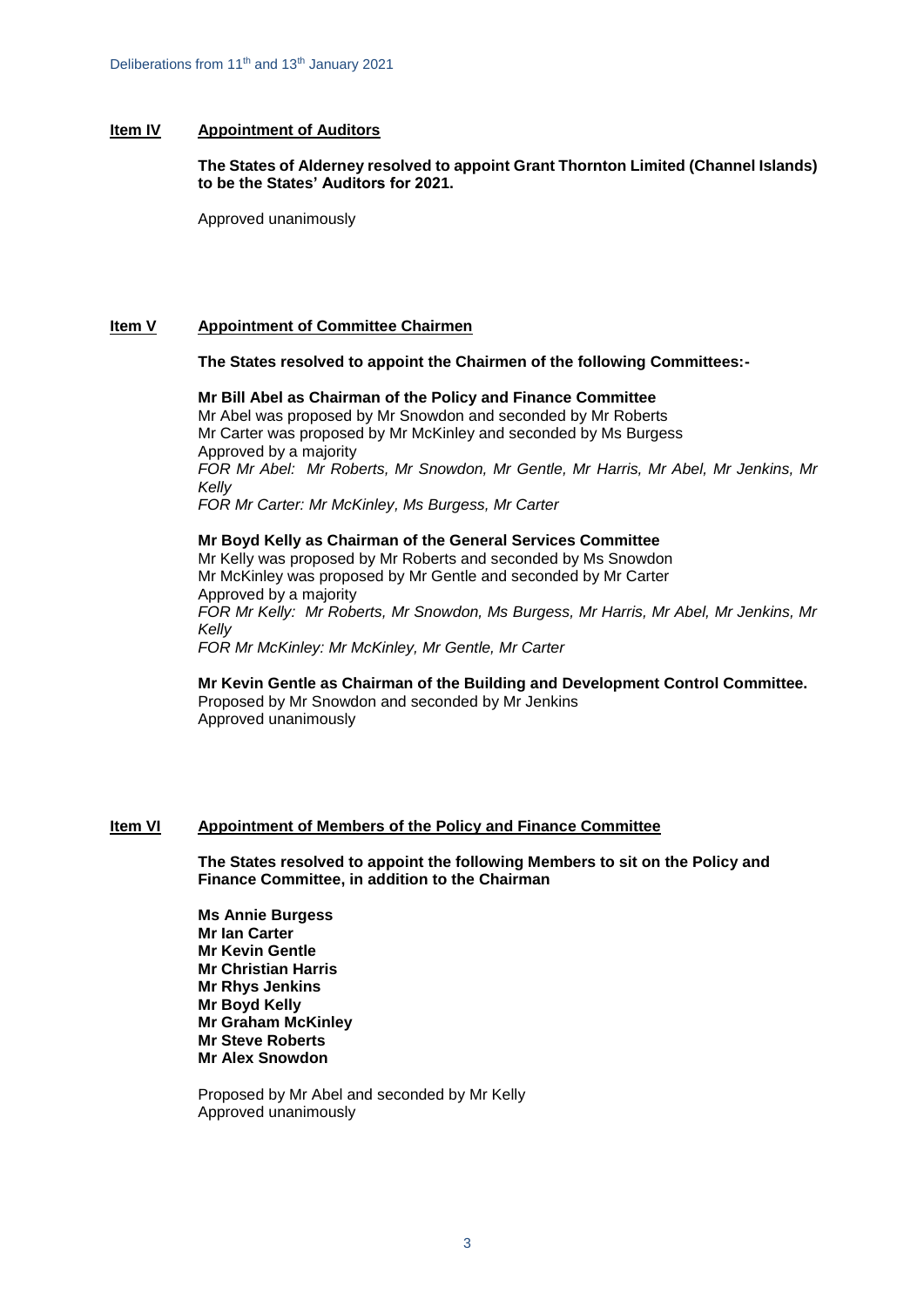# **Item IV Appointment of Auditors**

**The States of Alderney resolved to appoint Grant Thornton Limited (Channel Islands) to be the States' Auditors for 2021.**

Approved unanimously

# **Item V Appointment of Committee Chairmen**

#### **The States resolved to appoint the Chairmen of the following Committees:-**

**Mr Bill Abel as Chairman of the Policy and Finance Committee** Mr Abel was proposed by Mr Snowdon and seconded by Mr Roberts Mr Carter was proposed by Mr McKinley and seconded by Ms Burgess Approved by a majority *FOR Mr Abel: Mr Roberts, Mr Snowdon, Mr Gentle, Mr Harris, Mr Abel, Mr Jenkins, Mr Kelly FOR Mr Carter: Mr McKinley, Ms Burgess, Mr Carter*

**Mr Boyd Kelly as Chairman of the General Services Committee** Mr Kelly was proposed by Mr Roberts and seconded by Ms Snowdon Mr McKinley was proposed by Mr Gentle and seconded by Mr Carter Approved by a majority *FOR Mr Kelly: Mr Roberts, Mr Snowdon, Ms Burgess, Mr Harris, Mr Abel, Mr Jenkins, Mr Kelly FOR Mr McKinley: Mr McKinley, Mr Gentle, Mr Carter*

**Mr Kevin Gentle as Chairman of the Building and Development Control Committee.** Proposed by Mr Snowdon and seconded by Mr Jenkins Approved unanimously

# **Item VI Appointment of Members of the Policy and Finance Committee**

**The States resolved to appoint the following Members to sit on the Policy and Finance Committee, in addition to the Chairman**

**Ms Annie Burgess Mr Ian Carter Mr Kevin Gentle Mr Christian Harris Mr Rhys Jenkins Mr Boyd Kelly Mr Graham McKinley Mr Steve Roberts Mr Alex Snowdon**

Proposed by Mr Abel and seconded by Mr Kelly Approved unanimously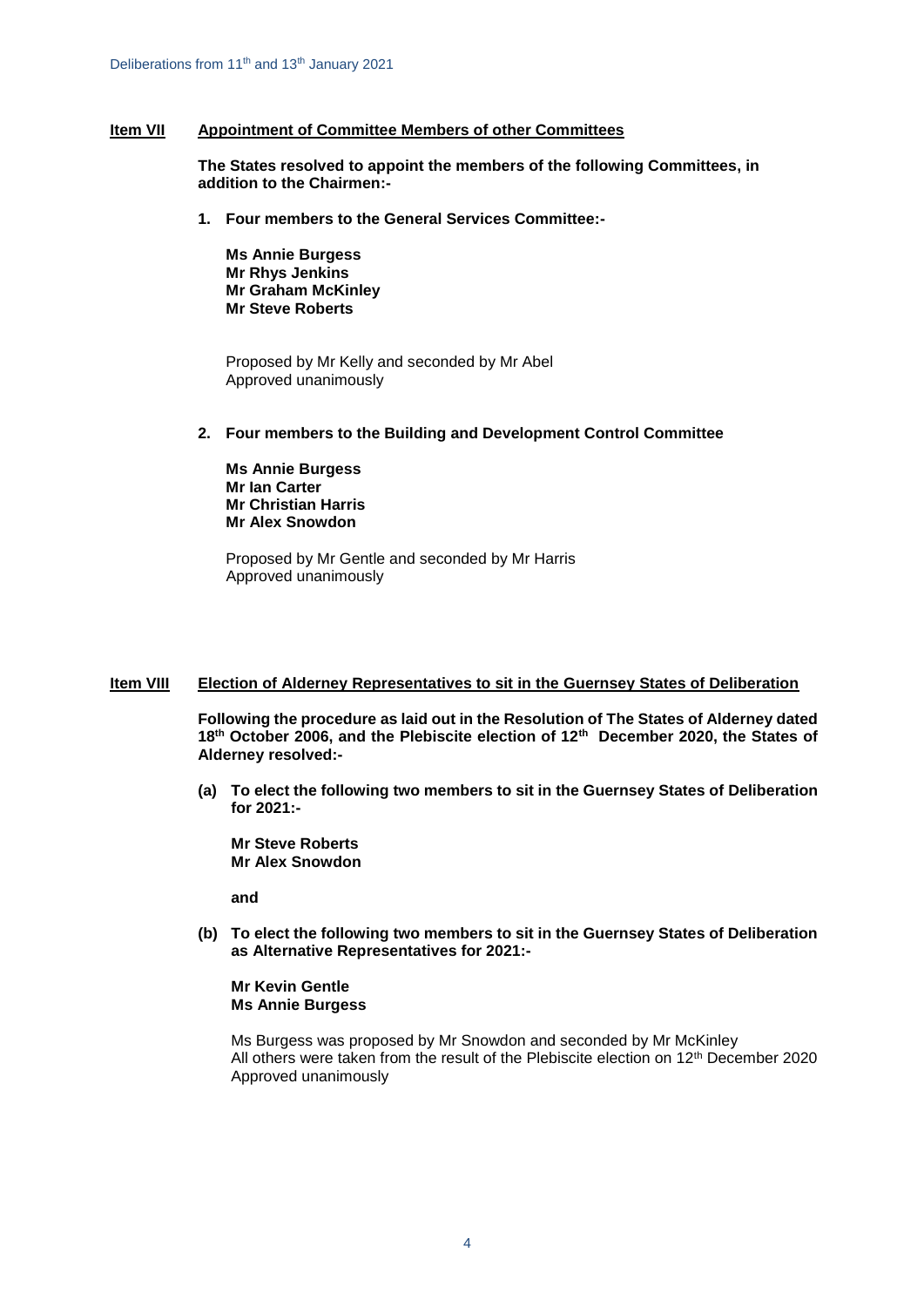# **Item VII Appointment of Committee Members of other Committees**

**The States resolved to appoint the members of the following Committees, in addition to the Chairmen:-**

**1. Four members to the General Services Committee:-**

**Ms Annie Burgess Mr Rhys Jenkins Mr Graham McKinley Mr Steve Roberts**

Proposed by Mr Kelly and seconded by Mr Abel Approved unanimously

**2. Four members to the Building and Development Control Committee**

**Ms Annie Burgess Mr Ian Carter Mr Christian Harris Mr Alex Snowdon** 

Proposed by Mr Gentle and seconded by Mr Harris Approved unanimously

# **Item VIII Election of Alderney Representatives to sit in the Guernsey States of Deliberation**

**Following the procedure as laid out in the Resolution of The States of Alderney dated 18th October 2006, and the Plebiscite election of 12th December 2020, the States of Alderney resolved:-**

**(a) To elect the following two members to sit in the Guernsey States of Deliberation for 2021:-**

**Mr Steve Roberts Mr Alex Snowdon**

**and**

**(b) To elect the following two members to sit in the Guernsey States of Deliberation as Alternative Representatives for 2021:-**

**Mr Kevin Gentle Ms Annie Burgess**

Ms Burgess was proposed by Mr Snowdon and seconded by Mr McKinley All others were taken from the result of the Plebiscite election on 12<sup>th</sup> December 2020 Approved unanimously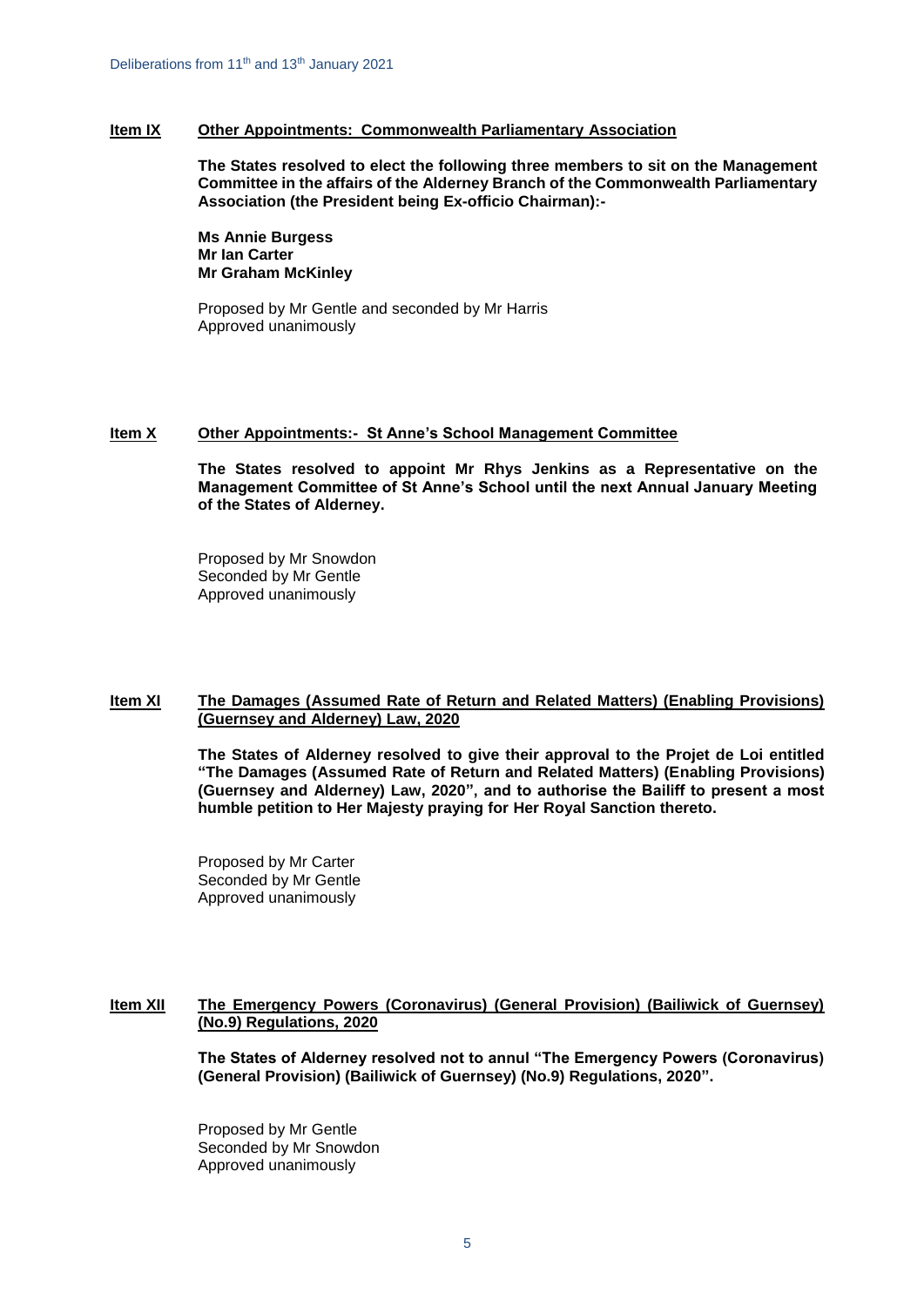#### **Item IX Other Appointments: Commonwealth Parliamentary Association**

**The States resolved to elect the following three members to sit on the Management Committee in the affairs of the Alderney Branch of the Commonwealth Parliamentary Association (the President being Ex-officio Chairman):-**

**Ms Annie Burgess Mr Ian Carter Mr Graham McKinley**

Proposed by Mr Gentle and seconded by Mr Harris Approved unanimously

# **Item X Other Appointments:- St Anne's School Management Committee**

**The States resolved to appoint Mr Rhys Jenkins as a Representative on the Management Committee of St Anne's School until the next Annual January Meeting of the States of Alderney.**

Proposed by Mr Snowdon Seconded by Mr Gentle Approved unanimously

#### **Item XI The Damages (Assumed Rate of Return and Related Matters) (Enabling Provisions) (Guernsey and Alderney) Law, 2020**

**The States of Alderney resolved to give their approval to the Projet de Loi entitled "The Damages (Assumed Rate of Return and Related Matters) (Enabling Provisions) (Guernsey and Alderney) Law, 2020", and to authorise the Bailiff to present a most humble petition to Her Majesty praying for Her Royal Sanction thereto.** 

Proposed by Mr Carter Seconded by Mr Gentle Approved unanimously

# **Item XII The Emergency Powers (Coronavirus) (General Provision) (Bailiwick of Guernsey) (No.9) Regulations, 2020**

**The States of Alderney resolved not to annul "The Emergency Powers (Coronavirus) (General Provision) (Bailiwick of Guernsey) (No.9) Regulations, 2020".** 

Proposed by Mr Gentle Seconded by Mr Snowdon Approved unanimously